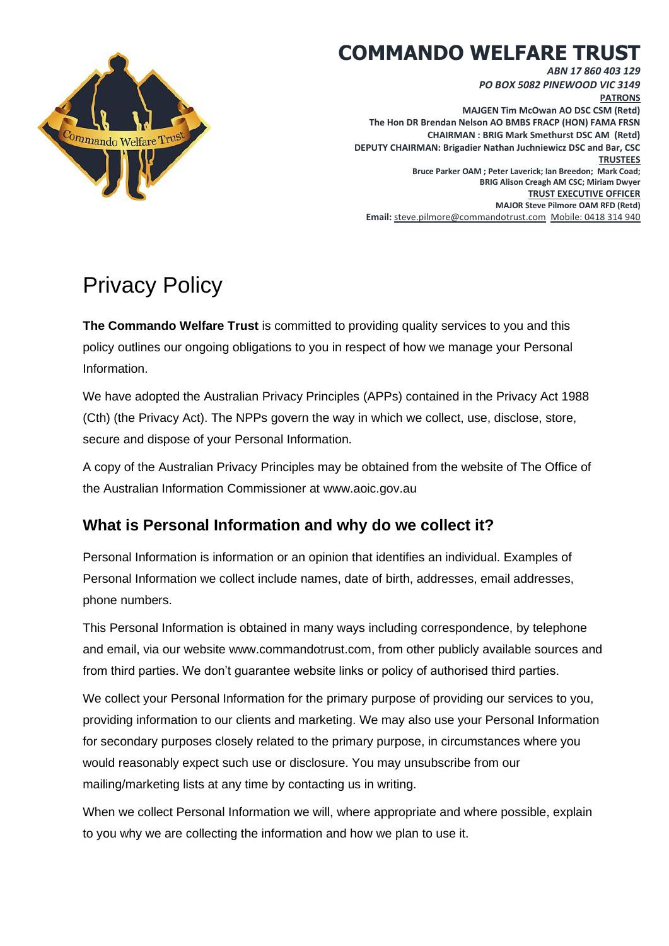## **COMMANDO WELFARE TRUST**

*ABN 17 860 403 129*



*PO BOX 5082 PINEWOOD VIC 3149* **PATRONS MAJGEN Tim McOwan AO DSC CSM (Retd) The Hon DR Brendan Nelson AO BMBS FRACP (HON) FAMA FRSN CHAIRMAN : BRIG Mark Smethurst DSC AM (Retd) DEPUTY CHAIRMAN: Brigadier Nathan Juchniewicz DSC and Bar, CSC TRUSTEES Bruce Parker OAM ; Peter Laverick; Ian Breedon; Mark Coad; BRIG Alison Creagh AM CSC; Miriam Dwyer TRUST EXECUTIVE OFFICER MAJOR Steve Pilmore OAM RFD (Retd) Email:** [steve.pilmore@commandotrust.com](mailto:steve.pilmore@commandotrust.com)Mobile: 0418 314 940

# Privacy Policy

**The Commando Welfare Trust** is committed to providing quality services to you and this policy outlines our ongoing obligations to you in respect of how we manage your Personal Information.

We have adopted the Australian Privacy Principles (APPs) contained in the Privacy Act 1988 (Cth) (the Privacy Act). The NPPs govern the way in which we collect, use, disclose, store, secure and dispose of your Personal Information.

A copy of the Australian Privacy Principles may be obtained from the website of The Office of the Australian Information Commissioner at www.aoic.gov.au

## **What is Personal Information and why do we collect it?**

Personal Information is information or an opinion that identifies an individual. Examples of Personal Information we collect include names, date of birth, addresses, email addresses, phone numbers.

This Personal Information is obtained in many ways including correspondence, by telephone and email, via our website www.commandotrust.com, from other publicly available sources and from third parties. We don't guarantee website links or policy of authorised third parties.

We collect your Personal Information for the primary purpose of providing our services to you, providing information to our clients and marketing. We may also use your Personal Information for secondary purposes closely related to the primary purpose, in circumstances where you would reasonably expect such use or disclosure. You may unsubscribe from our mailing/marketing lists at any time by contacting us in writing.

When we collect Personal Information we will, where appropriate and where possible, explain to you why we are collecting the information and how we plan to use it.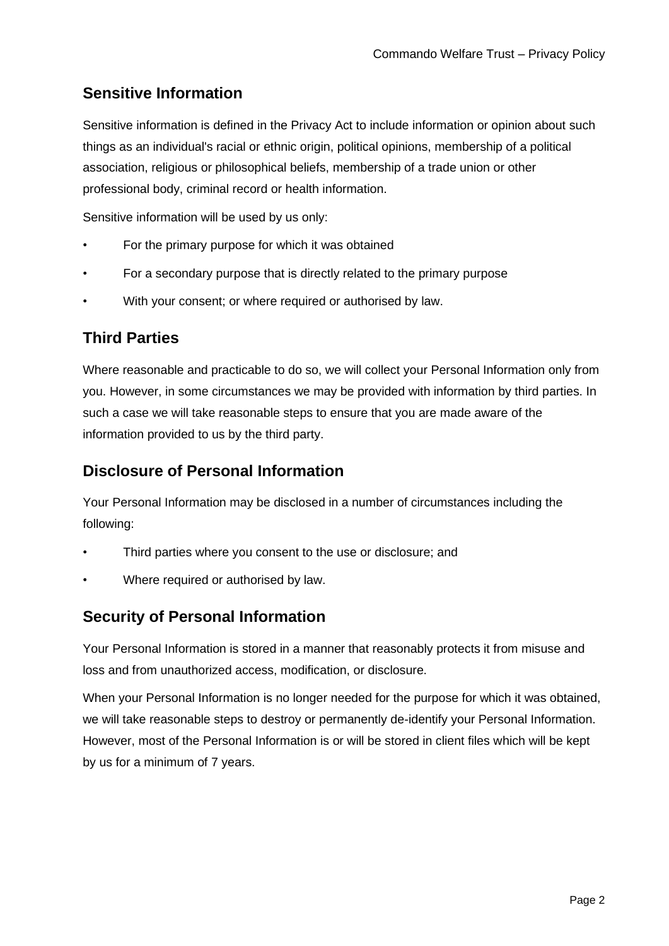## **Sensitive Information**

Sensitive information is defined in the Privacy Act to include information or opinion about such things as an individual's racial or ethnic origin, political opinions, membership of a political association, religious or philosophical beliefs, membership of a trade union or other professional body, criminal record or health information.

Sensitive information will be used by us only:

- For the primary purpose for which it was obtained
- For a secondary purpose that is directly related to the primary purpose
- With your consent; or where required or authorised by law.

#### **Third Parties**

Where reasonable and practicable to do so, we will collect your Personal Information only from you. However, in some circumstances we may be provided with information by third parties. In such a case we will take reasonable steps to ensure that you are made aware of the information provided to us by the third party.

#### **Disclosure of Personal Information**

Your Personal Information may be disclosed in a number of circumstances including the following:

- Third parties where you consent to the use or disclosure; and
- Where required or authorised by law.

#### **Security of Personal Information**

Your Personal Information is stored in a manner that reasonably protects it from misuse and loss and from unauthorized access, modification, or disclosure.

When your Personal Information is no longer needed for the purpose for which it was obtained, we will take reasonable steps to destroy or permanently de-identify your Personal Information. However, most of the Personal Information is or will be stored in client files which will be kept by us for a minimum of 7 years.